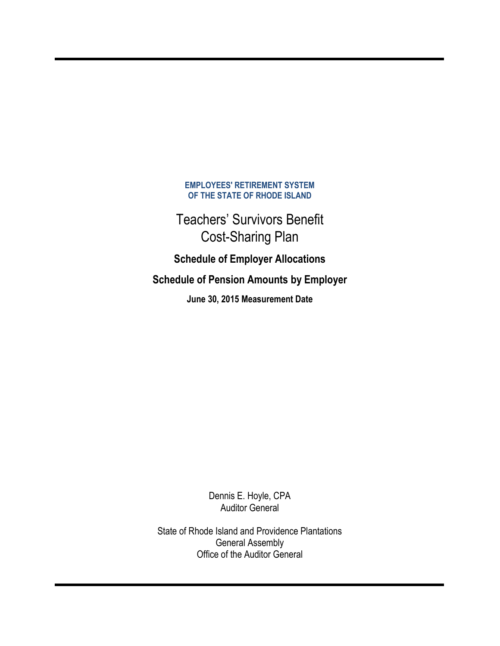### **EMPLOYEES' RETIREMENT SYSTEM OF THE STATE OF RHODE ISLAND**

Teachers' Survivors Benefit Cost-Sharing Plan

**Schedule of Employer Allocations Schedule of Pension Amounts by Employer**

**June 30, 2015 Measurement Date** 

Dennis E. Hoyle, CPA Auditor General

State of Rhode Island and Providence Plantations General Assembly Office of the Auditor General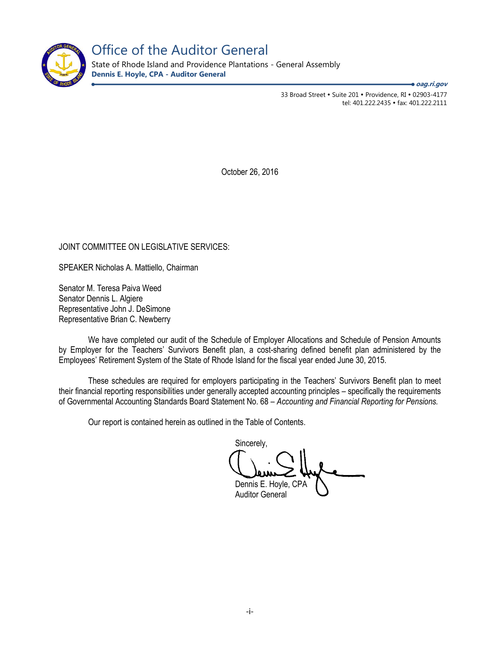

Office of the Auditor General

State of Rhode Island and Providence Plantations - General Assembly **Dennis E. Hoyle, CPA - Auditor General**

**oag.ri.gov**

33 Broad Street • Suite 201 • Providence, RI • 02903-4177 tel: 401.222.2435 • fax: 401.222.2111

October 26, 2016

### JOINT COMMITTEE ON LEGISLATIVE SERVICES:

SPEAKER Nicholas A. Mattiello, Chairman

Senator M. Teresa Paiva Weed Senator Dennis L. Algiere Representative John J. DeSimone Representative Brian C. Newberry

We have completed our audit of the Schedule of Employer Allocations and Schedule of Pension Amounts by Employer for the Teachers' Survivors Benefit plan, a cost-sharing defined benefit plan administered by the Employees' Retirement System of the State of Rhode Island for the fiscal year ended June 30, 2015.

These schedules are required for employers participating in the Teachers' Survivors Benefit plan to meet their financial reporting responsibilities under generally accepted accounting principles – specifically the requirements of Governmental Accounting Standards Board Statement No. 68 – *Accounting and Financial Reporting for Pensions.* 

Our report is contained herein as outlined in the Table of Contents.

Sincerely, Dennis E. Hoyle,

Auditor General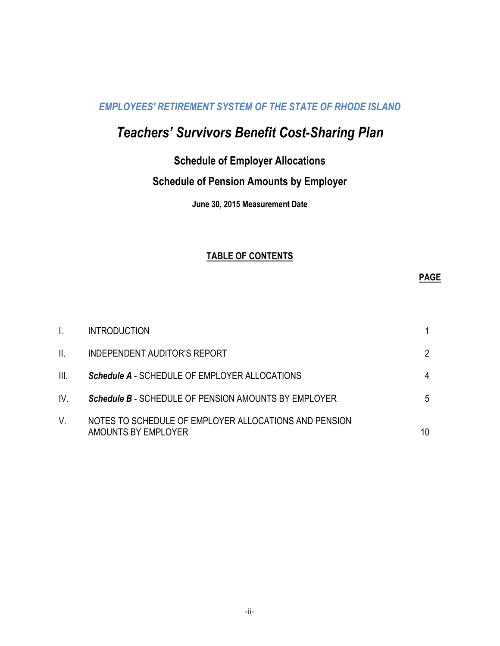### *EMPLOYEES' RETIREMENT SYSTEM OF THE STATE OF RHODE ISLAND*

# *Teachers' Survivors Benefit Cost-Sharing Plan*

### **Schedule of Employer Allocations**

## **Schedule of Pension Amounts by Employer**

**June 30, 2015 Measurement Date** 

### **TABLE OF CONTENTS**

### **PAGE**

|      | <b>INTRODUCTION</b>                                                          |    |
|------|------------------------------------------------------------------------------|----|
| II.  | INDEPENDENT AUDITOR'S REPORT                                                 |    |
| III. | <b>Schedule A - SCHEDULE OF EMPLOYER ALLOCATIONS</b>                         |    |
| IV.  | <b>Schedule B - SCHEDULE OF PENSION AMOUNTS BY EMPLOYER</b>                  | 5  |
| V.   | NOTES TO SCHEDULE OF EMPLOYER ALLOCATIONS AND PENSION<br>AMOUNTS BY EMPLOYER | 10 |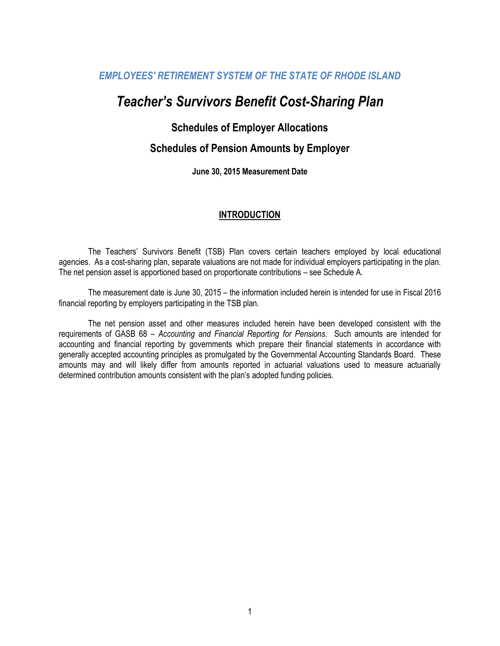### *EMPLOYEES' RETIREMENT SYSTEM OF THE STATE OF RHODE ISLAND*

## *Teacher's Survivors Benefit Cost-Sharing Plan*

### **Schedules of Employer Allocations**

### **Schedules of Pension Amounts by Employer**

**June 30, 2015 Measurement Date** 

### **INTRODUCTION**

The Teachers' Survivors Benefit (TSB) Plan covers certain teachers employed by local educational agencies. As a cost-sharing plan, separate valuations are not made for individual employers participating in the plan. The net pension asset is apportioned based on proportionate contributions – see Schedule A.

The measurement date is June 30, 2015 – the information included herein is intended for use in Fiscal 2016 financial reporting by employers participating in the TSB plan.

The net pension asset and other measures included herein have been developed consistent with the requirements of GASB 68 – *Accounting and Financial Reporting for Pensions*. Such amounts are intended for accounting and financial reporting by governments which prepare their financial statements in accordance with generally accepted accounting principles as promulgated by the Governmental Accounting Standards Board. These amounts may and will likely differ from amounts reported in actuarial valuations used to measure actuarially determined contribution amounts consistent with the plan's adopted funding policies.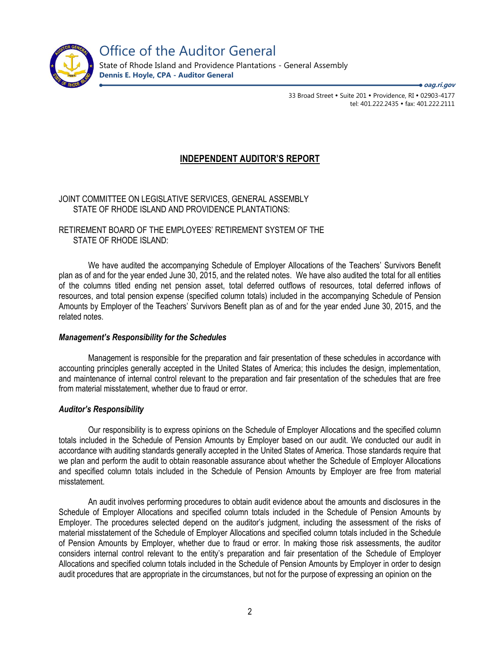

33 Broad Street • Suite 201 • Providence, RI • 02903-4177 tel: 401.222.2435 · fax: 401.222.2111 **oag.ri.gov**

### **INDEPENDENT AUDITOR'S REPORT**

JOINT COMMITTEE ON LEGISLATIVE SERVICES, GENERAL ASSEMBLY STATE OF RHODE ISLAND AND PROVIDENCE PLANTATIONS:

RETIREMENT BOARD OF THE EMPLOYEES' RETIREMENT SYSTEM OF THE STATE OF RHODE ISLAND:

We have audited the accompanying Schedule of Employer Allocations of the Teachers' Survivors Benefit plan as of and for the year ended June 30, 2015, and the related notes. We have also audited the total for all entities of the columns titled ending net pension asset, total deferred outflows of resources, total deferred inflows of resources, and total pension expense (specified column totals) included in the accompanying Schedule of Pension Amounts by Employer of the Teachers' Survivors Benefit plan as of and for the year ended June 30, 2015, and the related notes.

### *Management's Responsibility for the Schedules*

Management is responsible for the preparation and fair presentation of these schedules in accordance with accounting principles generally accepted in the United States of America; this includes the design, implementation, and maintenance of internal control relevant to the preparation and fair presentation of the schedules that are free from material misstatement, whether due to fraud or error.

### *Auditor's Responsibility*

Our responsibility is to express opinions on the Schedule of Employer Allocations and the specified column totals included in the Schedule of Pension Amounts by Employer based on our audit. We conducted our audit in accordance with auditing standards generally accepted in the United States of America. Those standards require that we plan and perform the audit to obtain reasonable assurance about whether the Schedule of Employer Allocations and specified column totals included in the Schedule of Pension Amounts by Employer are free from material misstatement.

An audit involves performing procedures to obtain audit evidence about the amounts and disclosures in the Schedule of Employer Allocations and specified column totals included in the Schedule of Pension Amounts by Employer. The procedures selected depend on the auditor's judgment, including the assessment of the risks of material misstatement of the Schedule of Employer Allocations and specified column totals included in the Schedule of Pension Amounts by Employer, whether due to fraud or error. In making those risk assessments, the auditor considers internal control relevant to the entity's preparation and fair presentation of the Schedule of Employer Allocations and specified column totals included in the Schedule of Pension Amounts by Employer in order to design audit procedures that are appropriate in the circumstances, but not for the purpose of expressing an opinion on the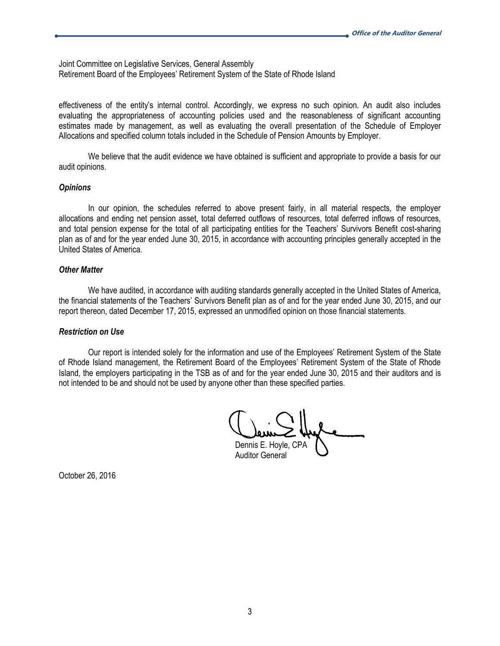Joint Committee on Legislative Services, General Assembly Retirement Board of the Employees' Retirement System of the State of Rhode Island

effectiveness of the entity's internal control. Accordingly, we express no such opinion. An audit also includes evaluating the appropriateness of accounting policies used and the reasonableness of significant accounting estimates made by management, as well as evaluating the overall presentation of the Schedule of Employer Allocations and specified column totals included in the Schedule of Pension Amounts by Employer.

We believe that the audit evidence we have obtained is sufficient and appropriate to provide a basis for our audit opinions.

#### *Opinions*

In our opinion, the schedules referred to above present fairly, in all material respects, the employer allocations and ending net pension asset, total deferred outflows of resources, total deferred inflows of resources, and total pension expense for the total of all participating entities for the Teachers' Survivors Benefit cost-sharing plan as of and for the year ended June 30, 2015, in accordance with accounting principles generally accepted in the United States of America.

#### *Other Matter*

We have audited, in accordance with auditing standards generally accepted in the United States of America, the financial statements of the Teachers' Survivors Benefit plan as of and for the year ended June 30, 2015, and our report thereon, dated December 17, 2015, expressed an unmodified opinion on those financial statements.

### *Restriction on Use*

Our report is intended solely for the information and use of the Employees' Retirement System of the State of Rhode Island management, the Retirement Board of the Employees' Retirement System of the State of Rhode Island, the employers participating in the TSB as of and for the year ended June 30, 2015 and their auditors and is not intended to be and should not be used by anyone other than these specified parties.

Dennis E. Hoyle, CPA

Auditor General

October 26, 2016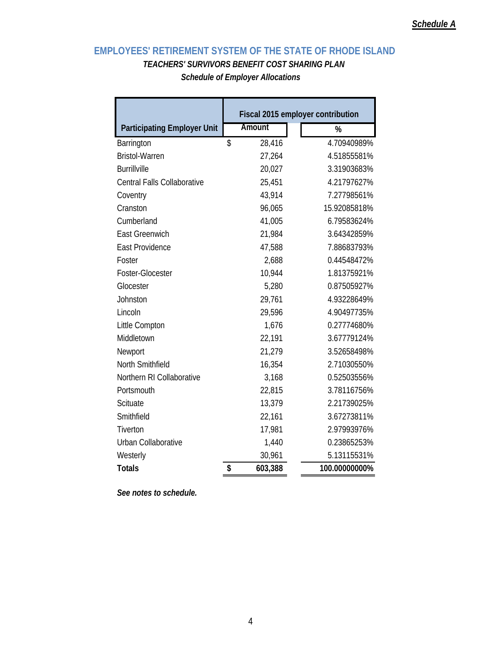### **EMPLOYEES' RETIREMENT SYSTEM OF THE STATE OF RHODE ISLAND** *TEACHERS' SURVIVORS BENEFIT COST SHARING PLAN*

*Schedule of Employer Allocations* 

|                                    | Fiscal 2015 employer contribution |         |               |  |  |  |
|------------------------------------|-----------------------------------|---------|---------------|--|--|--|
| <b>Participating Employer Unit</b> |                                   | Amount  | %             |  |  |  |
| Barrington                         | \$                                | 28,416  | 4.70940989%   |  |  |  |
| <b>Bristol-Warren</b>              |                                   | 27,264  | 4.51855581%   |  |  |  |
| <b>Burrillville</b>                |                                   | 20,027  | 3.31903683%   |  |  |  |
| <b>Central Falls Collaborative</b> |                                   | 25,451  | 4.21797627%   |  |  |  |
| Coventry                           |                                   | 43,914  | 7.27798561%   |  |  |  |
| Cranston                           |                                   | 96,065  | 15.92085818%  |  |  |  |
| Cumberland                         |                                   | 41,005  | 6.79583624%   |  |  |  |
| East Greenwich                     |                                   | 21,984  | 3.64342859%   |  |  |  |
| <b>East Providence</b>             |                                   | 47,588  | 7.88683793%   |  |  |  |
| Foster                             |                                   | 2,688   | 0.44548472%   |  |  |  |
| Foster-Glocester                   |                                   | 10,944  | 1.81375921%   |  |  |  |
| Glocester                          |                                   | 5,280   | 0.87505927%   |  |  |  |
| Johnston                           |                                   | 29,761  | 4.93228649%   |  |  |  |
| Lincoln                            |                                   | 29,596  | 4.90497735%   |  |  |  |
| Little Compton                     |                                   | 1,676   | 0.27774680%   |  |  |  |
| Middletown                         |                                   | 22,191  | 3.67779124%   |  |  |  |
| Newport                            |                                   | 21,279  | 3.52658498%   |  |  |  |
| North Smithfield                   |                                   | 16,354  | 2.71030550%   |  |  |  |
| Northern RI Collaborative          |                                   | 3,168   | 0.52503556%   |  |  |  |
| Portsmouth                         |                                   | 22,815  | 3.78116756%   |  |  |  |
| Scituate                           |                                   | 13,379  | 2.21739025%   |  |  |  |
| Smithfield                         |                                   | 22,161  | 3.67273811%   |  |  |  |
| Tiverton                           |                                   | 17,981  | 2.97993976%   |  |  |  |
| Urban Collaborative                |                                   | 1,440   | 0.23865253%   |  |  |  |
| Westerly                           |                                   | 30,961  | 5.13115531%   |  |  |  |
| <b>Totals</b>                      | \$                                | 603,388 | 100.00000000% |  |  |  |

*See notes to schedule.*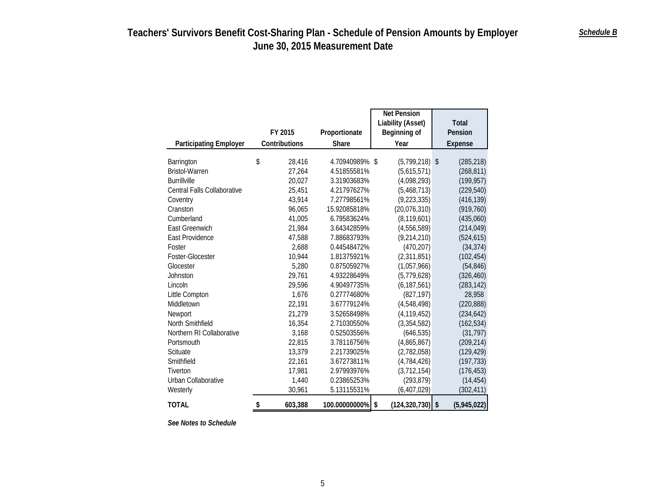|                               |               |                | Net Pension           |                   |
|-------------------------------|---------------|----------------|-----------------------|-------------------|
|                               |               |                | Liability (Asset)     | <b>Total</b>      |
|                               | FY 2015       | Proportionate  | Beginning of          | Pension           |
| <b>Participating Employer</b> | Contributions | Share          | Year                  | <b>Expense</b>    |
|                               |               |                |                       |                   |
| Barrington                    | \$<br>28.416  | 4.70940989% \$ | $(5,799,218)$ \$      | (285, 218)        |
| <b>Bristol-Warren</b>         | 27,264        | 4.51855581%    | (5,615,571)           | (268, 811)        |
| <b>Burrillville</b>           | 20,027        | 3.31903683%    | (4,098,293)           | (199, 957)        |
| Central Falls Collaborative   | 25,451        | 4.21797627%    | (5,468,713)           | (229, 540)        |
| Coventry                      | 43,914        | 7.27798561%    | (9, 223, 335)         | (416, 139)        |
| Cranston                      | 96,065        | 15.92085818%   | (20,076,310)          | (919, 760)        |
| Cumberland                    | 41,005        | 6.79583624%    | (8, 119, 601)         | (435,060)         |
| <b>East Greenwich</b>         | 21,984        | 3.64342859%    | (4,556,589)           | (214, 049)        |
| <b>East Providence</b>        | 47,588        | 7.88683793%    | (9,214,210)           | (524, 615)        |
| Foster                        | 2,688         | 0.44548472%    | (470, 207)            | (34, 374)         |
| Foster-Glocester              | 10,944        | 1.81375921%    | (2,311,851)           | (102, 454)        |
| Glocester                     | 5,280         | 0.87505927%    | (1,057,966)           | (54, 846)         |
| Johnston                      | 29,761        | 4.93228649%    | (5,779,628)           | (326, 460)        |
| Lincoln                       | 29,596        | 4.90497735%    | (6, 187, 561)         | (283, 142)        |
| Little Compton                | 1,676         | 0.27774680%    | (827, 197)            | 28,958            |
| Middletown                    | 22,191        | 3.67779124%    | (4,548,498)           | (220, 888)        |
| Newport                       | 21,279        | 3.52658498%    | (4, 119, 452)         | (234, 642)        |
| North Smithfield              | 16,354        | 2.71030550%    | (3, 354, 582)         | (162, 534)        |
| Northern RI Collaborative     | 3,168         | 0.52503556%    | (646, 535)            | (31, 797)         |
| Portsmouth                    | 22,815        | 3.78116756%    | (4,865,867)           | (209, 214)        |
| <b>Scituate</b>               | 13,379        | 2.21739025%    | (2,782,058)           | (129, 429)        |
| Smithfield                    | 22,161        | 3.67273811%    | (4,784,426)           | (197, 733)        |
| Tiverton                      | 17,981        | 2.97993976%    | (3, 712, 154)         | (176, 453)        |
| Urban Collaborative           | 1,440         | 0.23865253%    | (293, 879)            | (14, 454)         |
| Westerly                      | 30,961        | 5.13115531%    | (6, 407, 029)         | (302, 411)        |
| <b>TOTAL</b>                  | \$<br>603,388 | 100.00000000%  | \$<br>(124, 320, 730) | \$<br>(5,945,022) |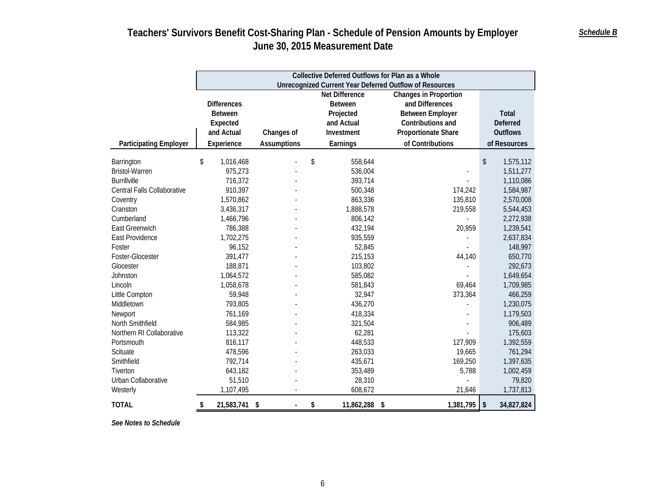|                               | Collective Deferred Outflows for Plan as a Whole |                    |    |                |                                                                |                                       |  |  |  |  |
|-------------------------------|--------------------------------------------------|--------------------|----|----------------|----------------------------------------------------------------|---------------------------------------|--|--|--|--|
|                               |                                                  |                    |    |                | <b>Unrecognized Current Year Deferred Outflow of Resources</b> |                                       |  |  |  |  |
|                               |                                                  |                    |    | Net Difference | <b>Changes in Proportion</b>                                   |                                       |  |  |  |  |
|                               | <b>Differences</b>                               |                    |    | <b>Between</b> | and Differences                                                |                                       |  |  |  |  |
|                               | <b>Between</b>                                   |                    |    | Projected      | <b>Between Employer</b>                                        | <b>Total</b>                          |  |  |  |  |
|                               | Expected                                         |                    |    | and Actual     | Contributions and                                              | Deferred                              |  |  |  |  |
|                               | and Actual                                       | Changes of         |    | Investment     | Proportionate Share                                            | <b>Outflows</b>                       |  |  |  |  |
| <b>Participating Employer</b> | Experience                                       | <b>Assumptions</b> |    | Earnings       | of Contributions                                               | of Resources                          |  |  |  |  |
| Barrington                    | \$<br>1,016,468                                  |                    | \$ | 558,644        |                                                                | \$<br>1,575,112                       |  |  |  |  |
| <b>Bristol-Warren</b>         | 975,273                                          |                    |    | 536,004        |                                                                | 1,511,277                             |  |  |  |  |
| <b>Burrillville</b>           | 716,372                                          |                    |    | 393,714        |                                                                | 1,110,086                             |  |  |  |  |
| Central Falls Collaborative   | 910,397                                          |                    |    | 500,348        | 174,242                                                        | 1,584,987                             |  |  |  |  |
| Coventry                      | 1,570,862                                        |                    |    | 863,336        | 135,810                                                        | 2,570,008                             |  |  |  |  |
| Cranston                      | 3,436,317                                        |                    |    | 1,888,578      | 219,558                                                        | 5,544,453                             |  |  |  |  |
| Cumberland                    | 1,466,796                                        |                    |    | 806,142        |                                                                | 2,272,938                             |  |  |  |  |
| <b>East Greenwich</b>         | 786,388                                          |                    |    | 432,194        | 20,959                                                         | 1,239,541                             |  |  |  |  |
| East Providence               | 1,702,275                                        |                    |    | 935,559        |                                                                | 2,637,834                             |  |  |  |  |
| Foster                        | 96,152                                           |                    |    | 52,845         |                                                                | 148,997                               |  |  |  |  |
| Foster-Glocester              | 391,477                                          |                    |    | 215,153        | 44,140                                                         | 650,770                               |  |  |  |  |
| Glocester                     | 188,871                                          |                    |    | 103,802        |                                                                | 292,673                               |  |  |  |  |
| Johnston                      | 1,064,572                                        |                    |    | 585,082        |                                                                | 1,649,654                             |  |  |  |  |
| Lincoln                       | 1,058,678                                        |                    |    | 581,843        | 69,464                                                         | 1,709,985                             |  |  |  |  |
| Little Compton                | 59,948                                           |                    |    | 32,947         | 373,364                                                        | 466,259                               |  |  |  |  |
| Middletown                    | 793,805                                          |                    |    | 436,270        |                                                                | 1,230,075                             |  |  |  |  |
| Newport                       | 761,169                                          |                    |    | 418,334        |                                                                | 1,179,503                             |  |  |  |  |
| North Smithfield              | 584,985                                          |                    |    | 321,504        |                                                                | 906,489                               |  |  |  |  |
| Northern RI Collaborative     | 113,322                                          |                    |    | 62,281         |                                                                | 175,603                               |  |  |  |  |
| Portsmouth                    | 816,117                                          |                    |    | 448,533        | 127,909                                                        | 1,392,559                             |  |  |  |  |
| Scituate                      | 478,596                                          |                    |    | 263,033        | 19,665                                                         | 761,294                               |  |  |  |  |
| Smithfield                    | 792,714                                          |                    |    | 435,671        | 169,250                                                        | 1,397,635                             |  |  |  |  |
| Tiverton                      | 643,182                                          |                    |    | 353,489        | 5,788                                                          | 1,002,459                             |  |  |  |  |
| Urban Collaborative           | 51,510                                           |                    |    | 28,310         |                                                                | 79,820                                |  |  |  |  |
| Westerly                      | 1,107,495                                        |                    |    | 608,672        | 21,646                                                         | 1,737,813                             |  |  |  |  |
| <b>TOTAL</b>                  | 21,583,741<br>\$                                 | $\sqrt{2}$         | \$ | 11,862,288 \$  | 1,381,795                                                      | $\sqrt[6]{\frac{1}{2}}$<br>34,827,824 |  |  |  |  |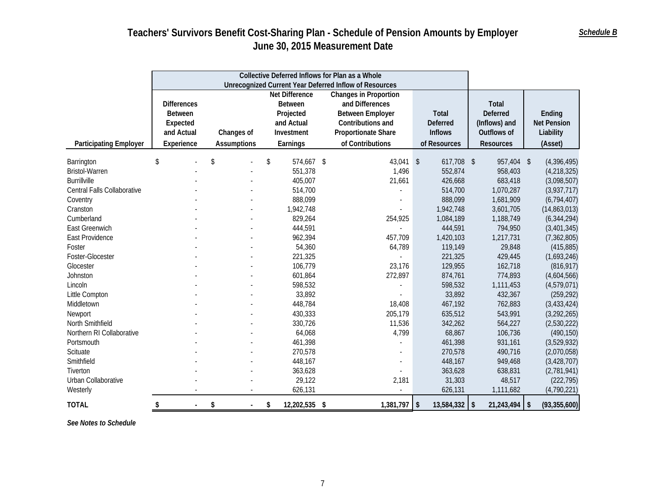|                               |                                                | Collective Deferred Inflows for Plan as a Whole |                     |                            |                       |                  |                        |
|-------------------------------|------------------------------------------------|-------------------------------------------------|---------------------|----------------------------|-----------------------|------------------|------------------------|
|                               |                                                |                                                 |                     |                            |                       |                  |                        |
|                               | Net Difference<br><b>Changes in Proportion</b> |                                                 |                     |                            |                       |                  |                        |
|                               | <b>Differences</b>                             |                                                 | <b>Between</b>      | and Differences            |                       | <b>Total</b>     |                        |
|                               | <b>Between</b>                                 |                                                 | Projected           | <b>Between Employer</b>    | <b>Total</b>          | <b>Deferred</b>  | Ending                 |
|                               | Expected                                       |                                                 | and Actual          | Contributions and          | <b>Deferred</b>       | (Inflows) and    | <b>Net Pension</b>     |
|                               | and Actual                                     | Changes of                                      | Investment          | <b>Proportionate Share</b> | <b>Inflows</b>        | Outflows of      | Liability              |
| <b>Participating Employer</b> | Experience                                     | <b>Assumptions</b>                              | Earnings            | of Contributions           | of Resources          | <b>Resources</b> | (Asset)                |
| Barrington                    | \$                                             | \$                                              | \$<br>574,667 \$    | 43,041 \$                  | 617,708 \$            | 957,404          | (4,396,495)<br>$\sqrt$ |
| <b>Bristol-Warren</b>         |                                                |                                                 | 551,378             | 1,496                      | 552,874               | 958,403          | (4,218,325)            |
| <b>Burrillville</b>           |                                                |                                                 | 405,007             | 21,661                     | 426,668               | 683,418          | (3,098,507)            |
| Central Falls Collaborative   |                                                |                                                 | 514,700             |                            | 514,700               | 1,070,287        | (3,937,717)            |
| Coventry                      |                                                |                                                 | 888,099             |                            | 888,099               | 1,681,909        | (6,794,407)            |
| Cranston                      |                                                |                                                 | 1,942,748           |                            | 1,942,748             | 3,601,705        | (14,863,013)           |
| Cumberland                    |                                                |                                                 | 829,264             | 254,925                    | 1,084,189             | 1,188,749        | (6, 344, 294)          |
| East Greenwich                |                                                |                                                 | 444,591             |                            | 444,591               | 794,950          | (3,401,345)            |
| East Providence               |                                                |                                                 | 962,394             | 457,709                    | 1,420,103             | 1,217,731        | (7, 362, 805)          |
| Foster                        |                                                |                                                 | 54,360              | 64,789                     | 119,149               | 29,848           | (415, 885)             |
| Foster-Glocester              |                                                |                                                 | 221,325             |                            | 221,325               | 429,445          | (1,693,246)            |
| Glocester                     |                                                |                                                 | 106,779             | 23,176                     | 129,955               | 162,718          | (816, 917)             |
| Johnston                      |                                                |                                                 | 601,864             | 272,897                    | 874,761               | 774,893          | (4,604,566)            |
| Lincoln                       |                                                |                                                 | 598,532             |                            | 598,532               | 1,111,453        | (4,579,071)            |
| Little Compton                |                                                |                                                 | 33,892              |                            | 33,892                | 432,367          | (259, 292)             |
| Middletown                    |                                                |                                                 | 448,784             | 18,408                     | 467,192               | 762,883          | (3,433,424)            |
| Newport                       |                                                |                                                 | 430,333             | 205,179                    | 635,512               | 543,991          | (3,292,265)            |
| North Smithfield              |                                                |                                                 | 330,726             | 11,536                     | 342,262               | 564,227          | (2,530,222)            |
| Northern RI Collaborative     |                                                |                                                 | 64,068              | 4,799                      | 68,867                | 106,736          | (490, 150)             |
| Portsmouth                    |                                                |                                                 | 461,398             |                            | 461,398               | 931,161          | (3,529,932)            |
| Scituate                      |                                                |                                                 | 270,578             |                            | 270,578               | 490,716          | (2,070,058)            |
| Smithfield                    |                                                |                                                 | 448,167             |                            | 448,167               | 949,468          | (3, 428, 707)          |
| Tiverton                      |                                                |                                                 | 363,628             |                            | 363,628               | 638,831          | (2,781,941)            |
| Urban Collaborative           |                                                |                                                 | 29,122              | 2,181                      | 31,303                | 48,517           | (222, 795)             |
| Westerly                      |                                                |                                                 | 626,131             |                            | 626,131               | 1,111,682        | (4,790,221)            |
| <b>TOTAL</b>                  | \$<br>$\blacksquare$                           | \$                                              | \$<br>12,202,535 \$ | 1,381,797                  | \$<br>$13,584,332$ \$ | 21,243,494       | \$<br>(93, 355, 600)   |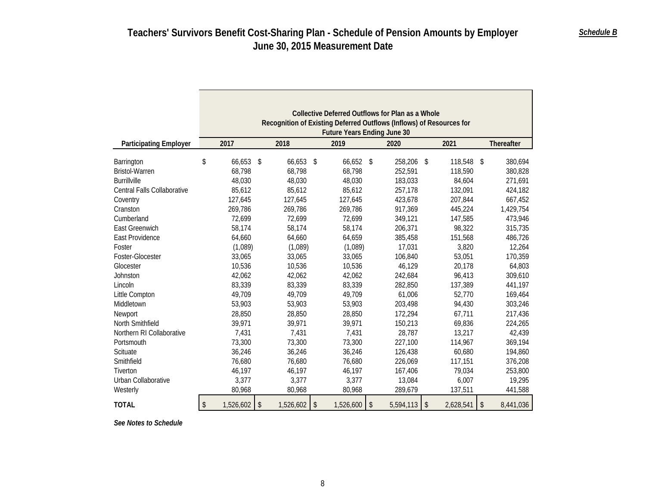|                                                                                                                                                                                | Collective Deferred Outflows for Plan as a Whole<br>Recognition of Existing Deferred Outflows (Inflows) of Resources for<br><b>Future Years Ending June 30</b> |                                                                                                           |     |                                                                                                           |    |                                                                                                                     |    |                                                                                                               |               |                                                                                                                      |
|--------------------------------------------------------------------------------------------------------------------------------------------------------------------------------|----------------------------------------------------------------------------------------------------------------------------------------------------------------|-----------------------------------------------------------------------------------------------------------|-----|-----------------------------------------------------------------------------------------------------------|----|---------------------------------------------------------------------------------------------------------------------|----|---------------------------------------------------------------------------------------------------------------|---------------|----------------------------------------------------------------------------------------------------------------------|
| <b>Participating Employer</b>                                                                                                                                                  | 2017                                                                                                                                                           | 2018                                                                                                      |     | 2019                                                                                                      |    | 2020                                                                                                                |    | 2021                                                                                                          |               | Thereafter                                                                                                           |
| Barrington<br><b>Bristol-Warren</b><br><b>Burrillville</b><br>Central Falls Collaborative<br>Coventry<br>Cranston<br>Cumberland<br>East Greenwich<br>East Providence<br>Foster | \$<br>66,653<br>68,798<br>48,030<br>85,612<br>127,645<br>269,786<br>72,699<br>58,174<br>64,660<br>(1,089)                                                      | 66,653<br>S.<br>68,798<br>48,030<br>85,612<br>127,645<br>269,786<br>72,699<br>58,174<br>64,660<br>(1,089) | -\$ | 66,652 \$<br>68,798<br>48,030<br>85,612<br>127,645<br>269,786<br>72,699<br>58,174<br>64,659<br>(1,089)    |    | 258,206 \$<br>252,591<br>183,033<br>257,178<br>423,678<br>917,369<br>349,121<br>206,371<br>385,458<br>17,031        |    | 118,548<br>118,590<br>84,604<br>132,091<br>207,844<br>445,224<br>147,585<br>98,322<br>151,568<br>3,820        | $\mathcal{S}$ | 380,694<br>380,828<br>271,691<br>424,182<br>667,452<br>1,429,754<br>473,946<br>315,735<br>486,726<br>12,264          |
| Foster-Glocester<br>Glocester                                                                                                                                                  | 33,065<br>10,536                                                                                                                                               | 33,065<br>10,536                                                                                          |     | 33,065<br>10,536                                                                                          |    | 106.840<br>46,129                                                                                                   |    | 53.051<br>20,178                                                                                              |               | 170,359<br>64,803                                                                                                    |
| Johnston<br>Lincoln<br>Little Compton<br>Middletown<br>Newport<br>North Smithfield<br>Northern RI Collaborative<br>Portsmouth<br>Scituate<br>Smithfield<br>Tiverton            | 42,062<br>83,339<br>49,709<br>53,903<br>28,850<br>39,971<br>7,431<br>73,300<br>36,246<br>76,680<br>46,197                                                      | 42,062<br>83,339<br>49,709<br>53,903<br>28,850<br>39,971<br>7,431<br>73,300<br>36,246<br>76,680<br>46,197 |     | 42,062<br>83,339<br>49,709<br>53,903<br>28,850<br>39,971<br>7,431<br>73,300<br>36,246<br>76,680<br>46,197 |    | 242,684<br>282,850<br>61,006<br>203,498<br>172,294<br>150,213<br>28,787<br>227,100<br>126,438<br>226,069<br>167,406 |    | 96,413<br>137,389<br>52,770<br>94,430<br>67,711<br>69,836<br>13,217<br>114,967<br>60.680<br>117,151<br>79,034 |               | 309,610<br>441,197<br>169,464<br>303,246<br>217,436<br>224,265<br>42,439<br>369,194<br>194,860<br>376,208<br>253,800 |
| Urban Collaborative<br>Westerly                                                                                                                                                | 3,377<br>80,968                                                                                                                                                | 3,377<br>80,968                                                                                           |     | 3,377<br>80,968                                                                                           |    | 13,084<br>289,679                                                                                                   |    | 6,007<br>137,511                                                                                              |               | 19,295<br>441,588                                                                                                    |
| <b>TOTAL</b>                                                                                                                                                                   | \$<br>1,526,602                                                                                                                                                | \$<br>1,526,602                                                                                           | \$  | 1,526,600                                                                                                 | \$ | 5,594,113                                                                                                           | \$ | 2,628,541                                                                                                     | \$            | 8,441,036                                                                                                            |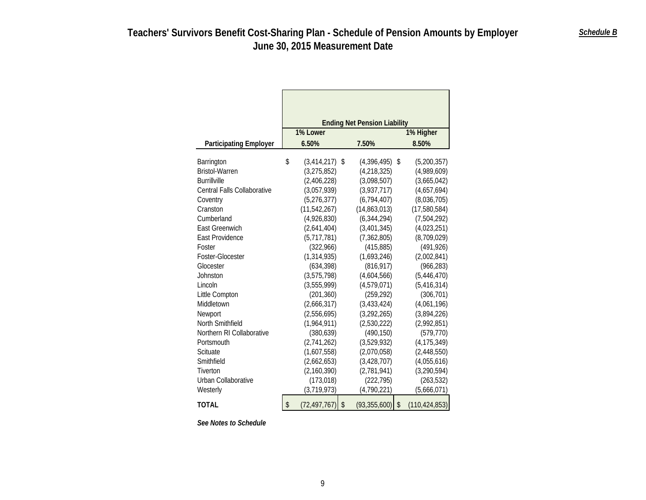| <b>Participating Employer</b> | <b>Ending Net Pension Liability</b><br>1% Higher<br>1% Lower<br>7.50%<br>8.50%<br>6.50% |                |    |               |    |                 |  |
|-------------------------------|-----------------------------------------------------------------------------------------|----------------|----|---------------|----|-----------------|--|
| Barrington                    | \$                                                                                      | (3, 414, 217)  | \$ | (4,396,495)   | \$ | (5,200,357)     |  |
| <b>Bristol-Warren</b>         |                                                                                         | (3,275,852)    |    | (4,218,325)   |    | (4,989,609)     |  |
| <b>Burrillville</b>           |                                                                                         | (2,406,228)    |    | (3,098,507)   |    | (3,665,042)     |  |
| Central Falls Collaborative   |                                                                                         | (3,057,939)    |    | (3,937,717)   |    | (4,657,694)     |  |
| Coventry                      |                                                                                         | (5,276,377)    |    | (6,794,407)   |    | (8,036,705)     |  |
| Cranston                      |                                                                                         | (11, 542, 267) |    | (14,863,013)  |    | (17,580,584)    |  |
| Cumberland                    |                                                                                         | (4,926,830)    |    | (6, 344, 294) |    | (7,504,292)     |  |
| <b>East Greenwich</b>         |                                                                                         | (2,641,404)    |    | (3,401,345)   |    | (4,023,251)     |  |
| East Providence               |                                                                                         | (5,717,781)    |    | (7, 362, 805) |    | (8,709,029)     |  |
| Foster                        |                                                                                         | (322, 966)     |    | (415, 885)    |    | (491, 926)      |  |
| Foster-Glocester              |                                                                                         | (1,314,935)    |    | (1,693,246)   |    | (2,002,841)     |  |
| Glocester                     |                                                                                         | (634, 398)     |    | (816, 917)    |    | (966, 283)      |  |
| Johnston                      |                                                                                         | (3,575,798)    |    | (4,604,566)   |    | (5,446,470)     |  |
| Lincoln                       |                                                                                         | (3,555,999)    |    | (4,579,071)   |    | (5,416,314)     |  |
| Little Compton                |                                                                                         | (201, 360)     |    | (259, 292)    |    | (306, 701)      |  |
| Middletown                    |                                                                                         | (2,666,317)    |    | (3,433,424)   |    | (4,061,196)     |  |
| Newport                       |                                                                                         | (2,556,695)    |    | (3,292,265)   |    | (3,894,226)     |  |
| North Smithfield              |                                                                                         | (1,964,911)    |    | (2,530,222)   |    | (2,992,851)     |  |
| Northern RI Collaborative     |                                                                                         | (380, 639)     |    | (490, 150)    |    | (579, 770)      |  |
| Portsmouth                    |                                                                                         | (2,741,262)    |    | (3,529,932)   |    | (4, 175, 349)   |  |
| Scituate                      |                                                                                         | (1,607,558)    |    | (2,070,058)   |    | (2,448,550)     |  |
| Smithfield                    |                                                                                         | (2,662,653)    |    | (3, 428, 707) |    | (4,055,616)     |  |
| Tiverton                      |                                                                                         | (2,160,390)    |    | (2,781,941)   |    | (3, 290, 594)   |  |
| Urban Collaborative           |                                                                                         | (173, 018)     |    | (222, 795)    |    | (263, 532)      |  |
| Westerly                      |                                                                                         | (3,719,973)    |    | (4,790,221)   |    | (5,666,071)     |  |
| TOTAL                         | \$                                                                                      | (72, 497, 767) | \$ | (93,355,600)  | \$ | (110, 424, 853) |  |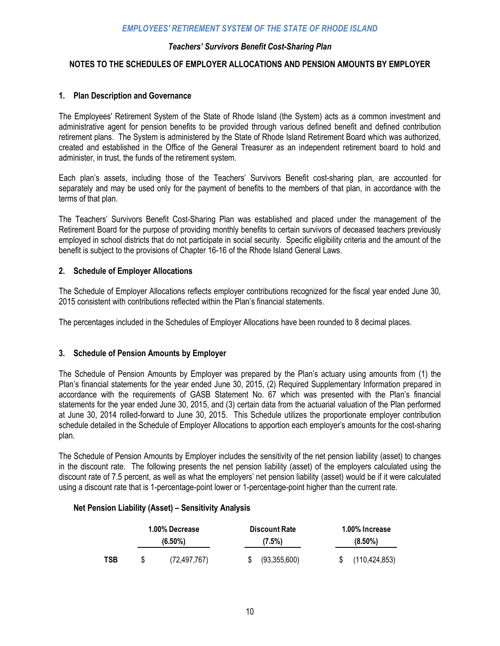### *Teachers' Survivors Benefit Cost-Sharing Plan*

### **NOTES TO THE SCHEDULES OF EMPLOYER ALLOCATIONS AND PENSION AMOUNTS BY EMPLOYER**

### **1. Plan Description and Governance**

The Employees' Retirement System of the State of Rhode Island (the System) acts as a common investment and administrative agent for pension benefits to be provided through various defined benefit and defined contribution retirement plans. The System is administered by the State of Rhode Island Retirement Board which was authorized, created and established in the Office of the General Treasurer as an independent retirement board to hold and administer, in trust, the funds of the retirement system.

Each plan's assets, including those of the Teachers' Survivors Benefit cost-sharing plan, are accounted for separately and may be used only for the payment of benefits to the members of that plan, in accordance with the terms of that plan.

The Teachers' Survivors Benefit Cost-Sharing Plan was established and placed under the management of the Retirement Board for the purpose of providing monthly benefits to certain survivors of deceased teachers previously employed in school districts that do not participate in social security. Specific eligibility criteria and the amount of the benefit is subject to the provisions of Chapter 16-16 of the Rhode Island General Laws.

### **2. Schedule of Employer Allocations**

The Schedule of Employer Allocations reflects employer contributions recognized for the fiscal year ended June 30, 2015 consistent with contributions reflected within the Plan's financial statements.

The percentages included in the Schedules of Employer Allocations have been rounded to 8 decimal places.

### **3. Schedule of Pension Amounts by Employer**

The Schedule of Pension Amounts by Employer was prepared by the Plan's actuary using amounts from (1) the Plan's financial statements for the year ended June 30, 2015, (2) Required Supplementary Information prepared in accordance with the requirements of GASB Statement No. 67 which was presented with the Plan's financial statements for the year ended June 30, 2015, and (3) certain data from the actuarial valuation of the Plan performed at June 30, 2014 rolled-forward to June 30, 2015. This Schedule utilizes the proportionate employer contribution schedule detailed in the Schedule of Employer Allocations to apportion each employer's amounts for the cost-sharing plan.

The Schedule of Pension Amounts by Employer includes the sensitivity of the net pension liability (asset) to changes in the discount rate. The following presents the net pension liability (asset) of the employers calculated using the discount rate of 7.5 percent, as well as what the employers' net pension liability (asset) would be if it were calculated using a discount rate that is 1-percentage-point lower or 1-percentage-point higher than the current rate.

### **Net Pension Liability (Asset) – Sensitivity Analysis**

|            | 1.00% Decrease<br>$(6.50\%)$ |                | <b>Discount Rate</b><br>$(7.5\%)$ | 1.00% Increase<br>$(8.50\%)$ |                 |  |
|------------|------------------------------|----------------|-----------------------------------|------------------------------|-----------------|--|
| <b>TSB</b> | S                            | (72, 497, 767) | (93,355,600)                      |                              | (110, 424, 853) |  |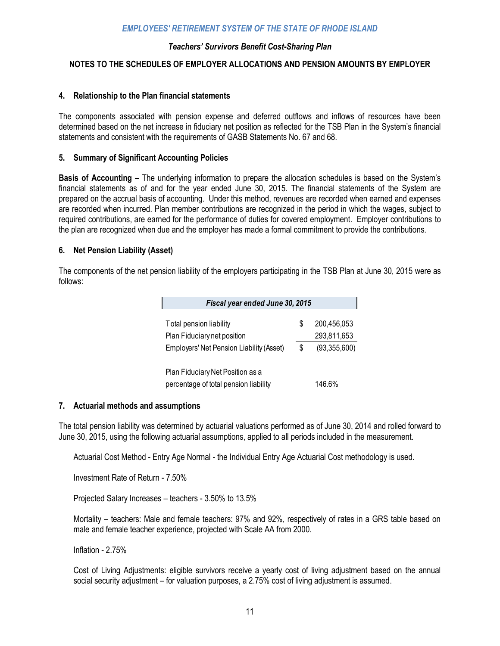### *Teachers' Survivors Benefit Cost-Sharing Plan*

### **NOTES TO THE SCHEDULES OF EMPLOYER ALLOCATIONS AND PENSION AMOUNTS BY EMPLOYER**

### **4. Relationship to the Plan financial statements**

The components associated with pension expense and deferred outflows and inflows of resources have been determined based on the net increase in fiduciary net position as reflected for the TSB Plan in the System's financial statements and consistent with the requirements of GASB Statements No. 67 and 68.

### **5. Summary of Significant Accounting Policies**

**Basis of Accounting –** The underlying information to prepare the allocation schedules is based on the System's financial statements as of and for the year ended June 30, 2015. The financial statements of the System are prepared on the accrual basis of accounting. Under this method, revenues are recorded when earned and expenses are recorded when incurred. Plan member contributions are recognized in the period in which the wages, subject to required contributions, are earned for the performance of duties for covered employment. Employer contributions to the plan are recognized when due and the employer has made a formal commitment to provide the contributions.

### **6. Net Pension Liability (Asset)**

The components of the net pension liability of the employers participating in the TSB Plan at June 30, 2015 were as follows:

| Fiscal year ended June 30, 2015                 |    |              |  |  |  |  |  |
|-------------------------------------------------|----|--------------|--|--|--|--|--|
| Total pension liability                         | \$ | 200,456,053  |  |  |  |  |  |
| Plan Fiduciary net position                     |    | 293,811,653  |  |  |  |  |  |
| <b>Employers' Net Pension Liability (Asset)</b> | \$ | (93,355,600) |  |  |  |  |  |
|                                                 |    |              |  |  |  |  |  |
| Plan Fiduciary Net Position as a                |    |              |  |  |  |  |  |
| percentage of total pension liability           |    | 146.6%       |  |  |  |  |  |

### **7. Actuarial methods and assumptions**

The total pension liability was determined by actuarial valuations performed as of June 30, 2014 and rolled forward to June 30, 2015, using the following actuarial assumptions, applied to all periods included in the measurement.

Actuarial Cost Method - Entry Age Normal - the Individual Entry Age Actuarial Cost methodology is used.

Investment Rate of Return - 7.50%

Projected Salary Increases – teachers - 3.50% to 13.5%

Mortality – teachers: Male and female teachers: 97% and 92%, respectively of rates in a GRS table based on male and female teacher experience, projected with Scale AA from 2000.

Inflation - 2.75%

Cost of Living Adjustments: eligible survivors receive a yearly cost of living adjustment based on the annual social security adjustment – for valuation purposes, a 2.75% cost of living adjustment is assumed.